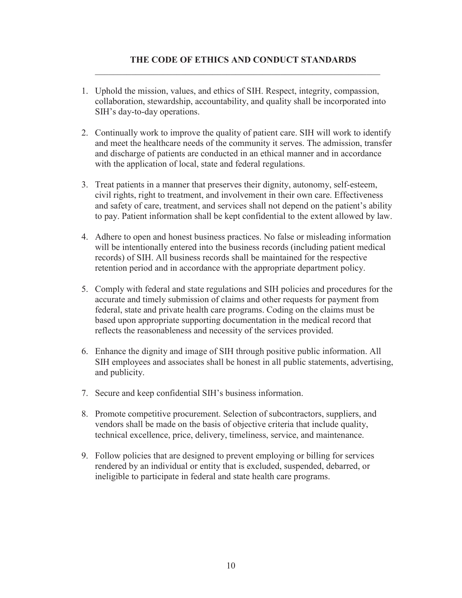## **THE CODE OF ETHICS AND CONDUCT STANDARDS**

1. Uphold the mission, values, and ethics of SIH. Respect, integrity, compassion, collaboration, stewardship, accountability, and quality shall be incorporated into SIH's day-to-day operations.

 $\mathcal{L}_\text{max} = \frac{1}{2} \sum_{i=1}^{n} \frac{1}{2} \sum_{i=1}^{n} \frac{1}{2} \sum_{i=1}^{n} \frac{1}{2} \sum_{i=1}^{n} \frac{1}{2} \sum_{i=1}^{n} \frac{1}{2} \sum_{i=1}^{n} \frac{1}{2} \sum_{i=1}^{n} \frac{1}{2} \sum_{i=1}^{n} \frac{1}{2} \sum_{i=1}^{n} \frac{1}{2} \sum_{i=1}^{n} \frac{1}{2} \sum_{i=1}^{n} \frac{1}{2} \sum_{i=1}^{n} \frac{1$ 

- 2. Continually work to improve the quality of patient care. SIH will work to identify and meet the healthcare needs of the community it serves. The admission, transfer and discharge of patients are conducted in an ethical manner and in accordance with the application of local, state and federal regulations.
- 3. Treat patients in a manner that preserves their dignity, autonomy, self-esteem, civil rights, right to treatment, and involvement in their own care. Effectiveness and safety of care, treatment, and services shall not depend on the patient's ability to pay. Patient information shall be kept confidential to the extent allowed by law.
- 4. Adhere to open and honest business practices. No false or misleading information will be intentionally entered into the business records (including patient medical records) of SIH. All business records shall be maintained for the respective retention period and in accordance with the appropriate department policy.
- 5. Comply with federal and state regulations and SIH policies and procedures for the accurate and timely submission of claims and other requests for payment from federal, state and private health care programs. Coding on the claims must be based upon appropriate supporting documentation in the medical record that reflects the reasonableness and necessity of the services provided.
- 6. Enhance the dignity and image of SIH through positive public information. All SIH employees and associates shall be honest in all public statements, advertising, and publicity.
- 7. Secure and keep confidential SIH's business information.
- 8. Promote competitive procurement. Selection of subcontractors, suppliers, and vendors shall be made on the basis of objective criteria that include quality, technical excellence, price, delivery, timeliness, service, and maintenance.
- 9. Follow policies that are designed to prevent employing or billing for services rendered by an individual or entity that is excluded, suspended, debarred, or ineligible to participate in federal and state health care programs.